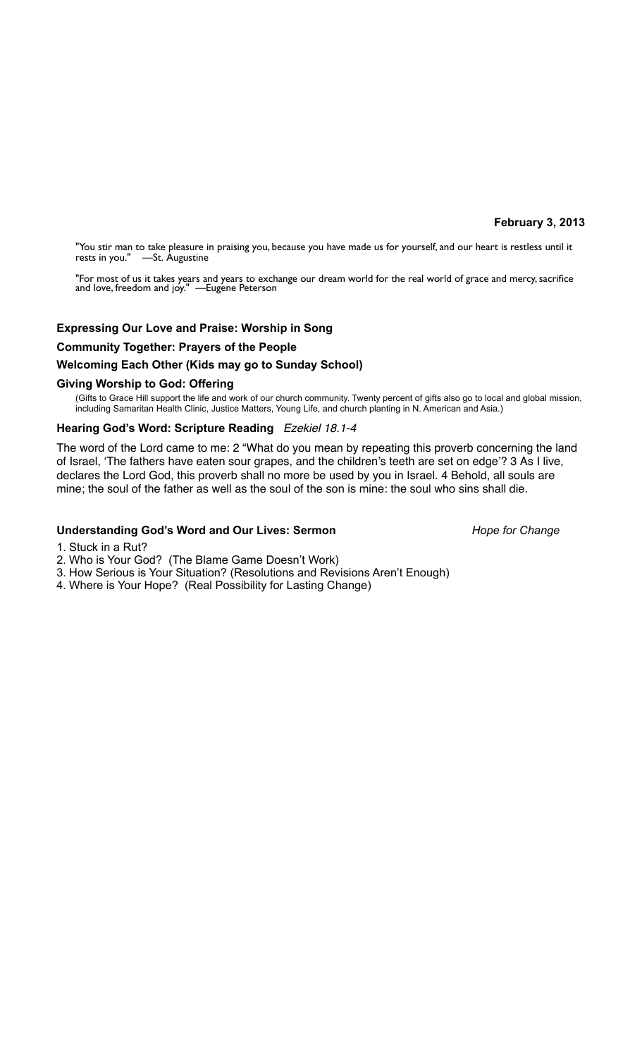## **February 3, 2013**

"You stir man to take pleasure in praising you, because you have made us for yourself, and our heart is restless until it rests in you." —St. Augustine

"For most of us it takes years and years to exchange our dream world for the real world of grace and mercy, sacrifice and love, freedom and joy." —Eugene Peterson

# **Expressing Our Love and Praise: Worship in Song**

# **Community Together: Prayers of the People**

# **Welcoming Each Other (Kids may go to Sunday School)**

## **Giving Worship to God: Offering**

(Gifts to Grace Hill support the life and work of our church community. Twenty percent of gifts also go to local and global mission, including Samaritan Health Clinic, Justice Matters, Young Life, and church planting in N. American and Asia.)

# **Hearing God's Word: Scripture Reading** *Ezekiel 18.1-4*

The word of the Lord came to me: 2 "What do you mean by repeating this proverb concerning the land of Israel, 'The fathers have eaten sour grapes, and the children's teeth are set on edge'? 3 As I live, declares the Lord God, this proverb shall no more be used by you in Israel. 4 Behold, all souls are mine; the soul of the father as well as the soul of the son is mine: the soul who sins shall die.

## Understanding God's Word and Our Lives: Sermon *Hope for Change*

- 1. Stuck in a Rut?
- 2. Who is Your God? (The Blame Game Doesn't Work)
- 3. How Serious is Your Situation? (Resolutions and Revisions Aren't Enough)
- 4. Where is Your Hope? (Real Possibility for Lasting Change)